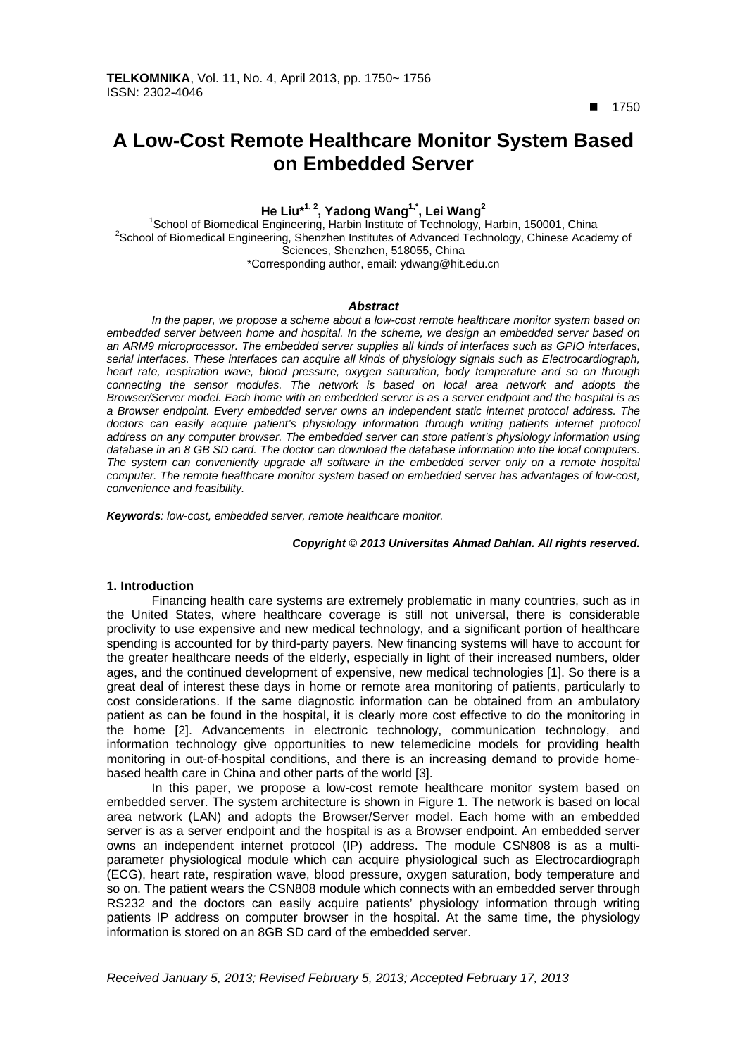■ 1750

 $\overline{a}$ 

# **A Low-Cost Remote Healthcare Monitor System Based on Embedded Server**

**He Liu\*1, 2, Yadong Wang1,\*, Lei Wang2**

<sup>1</sup> School of Biomedical Engineering, Harbin Institute of Technology, Harbin, 150001, China<br><sup>2</sup> School of Biomedical Engineering, Sharphan Institute of Advanced Technology, Chinage Acade <sup>2</sup>School of Biomedical Engineering, Shenzhen Institutes of Advanced Technology, Chinese Academy of Sciences, Shenzhen, 518055, China \*Corresponding author, email: ydwang@hit.edu.cn

### *Abstract*

*In the paper, we propose a scheme about a low-cost remote healthcare monitor system based on embedded server between home and hospital. In the scheme, we design an embedded server based on an ARM9 microprocessor. The embedded server supplies all kinds of interfaces such as GPIO interfaces, serial interfaces. These interfaces can acquire all kinds of physiology signals such as Electrocardiograph, heart rate, respiration wave, blood pressure, oxygen saturation, body temperature and so on through connecting the sensor modules. The network is based on local area network and adopts the Browser/Server model. Each home with an embedded server is as a server endpoint and the hospital is as a Browser endpoint. Every embedded server owns an independent static internet protocol address. The*  doctors can easily acquire patient's physiology information through writing patients internet protocol *address on any computer browser. The embedded server can store patient's physiology information using database in an 8 GB SD card. The doctor can download the database information into the local computers.*  The system can conveniently upgrade all software in the embedded server only on a remote hospital *computer. The remote healthcare monitor system based on embedded server has advantages of low-cost, convenience and feasibility.* 

*Keywords: low-cost, embedded server, remote healthcare monitor.*

# *Copyright* © *2013 Universitas Ahmad Dahlan. All rights reserved.*

### **1. Introduction**

Financing health care systems are extremely problematic in many countries, such as in the United States, where healthcare coverage is still not universal, there is considerable proclivity to use expensive and new medical technology, and a significant portion of healthcare spending is accounted for by third-party payers. New financing systems will have to account for the greater healthcare needs of the elderly, especially in light of their increased numbers, older ages, and the continued development of expensive, new medical technologies [1]. So there is a great deal of interest these days in home or remote area monitoring of patients, particularly to cost considerations. If the same diagnostic information can be obtained from an ambulatory patient as can be found in the hospital, it is clearly more cost effective to do the monitoring in the home [2]. Advancements in electronic technology, communication technology, and information technology give opportunities to new telemedicine models for providing health monitoring in out-of-hospital conditions, and there is an increasing demand to provide homebased health care in China and other parts of the world [3].

In this paper, we propose a low-cost remote healthcare monitor system based on embedded server. The system architecture is shown in Figure 1. The network is based on local area network (LAN) and adopts the Browser/Server model. Each home with an embedded server is as a server endpoint and the hospital is as a Browser endpoint. An embedded server owns an independent internet protocol (IP) address. The module CSN808 is as a multiparameter physiological module which can acquire physiological such as Electrocardiograph (ECG), heart rate, respiration wave, blood pressure, oxygen saturation, body temperature and so on. The patient wears the CSN808 module which connects with an embedded server through RS232 and the doctors can easily acquire patients' physiology information through writing patients IP address on computer browser in the hospital. At the same time, the physiology information is stored on an 8GB SD card of the embedded server.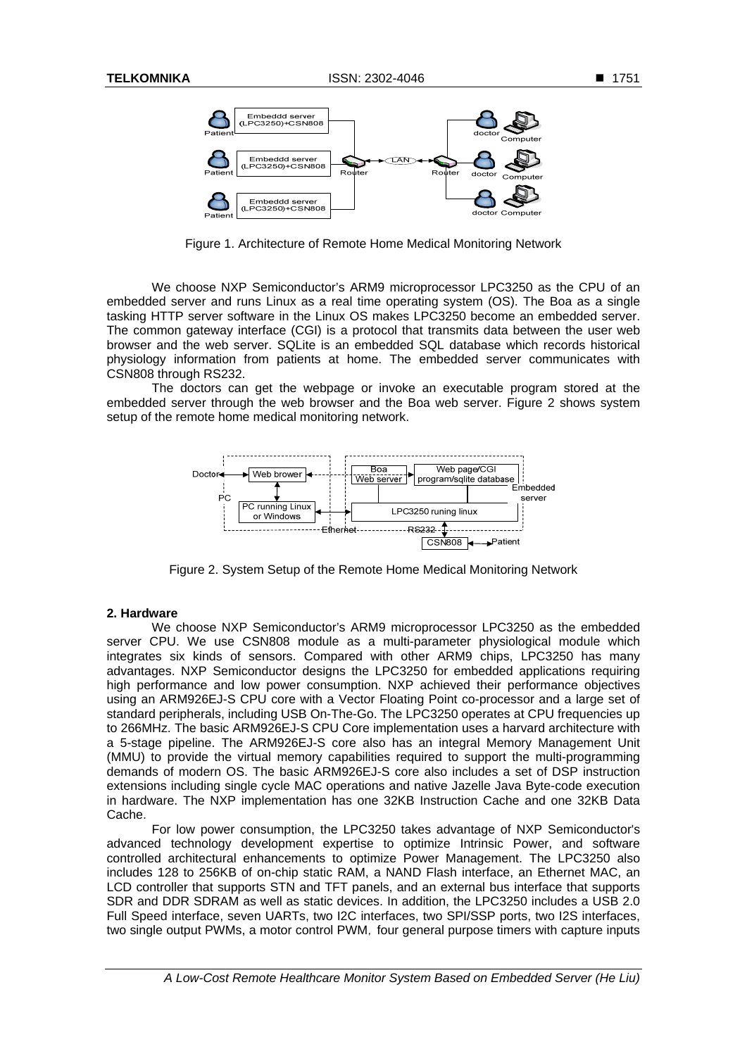

Figure 1. Architecture of Remote Home Medical Monitoring Network

We choose NXP Semiconductor's ARM9 microprocessor LPC3250 as the CPU of an embedded server and runs Linux as a real time operating system (OS). The Boa as a single tasking HTTP server software in the Linux OS makes LPC3250 become an embedded server. The common gateway interface (CGI) is a protocol that transmits data between the user web browser and the web server. SQLite is an embedded SQL database which records historical physiology information from patients at home. The embedded server communicates with CSN808 through RS232.

The doctors can get the webpage or invoke an executable program stored at the embedded server through the web browser and the Boa web server. Figure 2 shows system setup of the remote home medical monitoring network.



Figure 2. System Setup of the Remote Home Medical Monitoring Network

## **2. Hardware**

We choose NXP Semiconductor's ARM9 microprocessor LPC3250 as the embedded server CPU. We use CSN808 module as a multi-parameter physiological module which integrates six kinds of sensors. Compared with other ARM9 chips, LPC3250 has many advantages. NXP Semiconductor designs the LPC3250 for embedded applications requiring high performance and low power consumption. NXP achieved their performance objectives using an ARM926EJ-S CPU core with a Vector Floating Point co-processor and a large set of standard peripherals, including USB On-The-Go. The LPC3250 operates at CPU frequencies up to 266MHz. The basic ARM926EJ-S CPU Core implementation uses a harvard architecture with a 5-stage pipeline. The ARM926EJ-S core also has an integral Memory Management Unit (MMU) to provide the virtual memory capabilities required to support the multi-programming demands of modern OS. The basic ARM926EJ-S core also includes a set of DSP instruction extensions including single cycle MAC operations and native Jazelle Java Byte-code execution in hardware. The NXP implementation has one 32KB Instruction Cache and one 32KB Data Cache.

For low power consumption, the LPC3250 takes advantage of NXP Semiconductor's advanced technology development expertise to optimize Intrinsic Power, and software controlled architectural enhancements to optimize Power Management. The LPC3250 also includes 128 to 256KB of on-chip static RAM, a NAND Flash interface, an Ethernet MAC, an LCD controller that supports STN and TFT panels, and an external bus interface that supports SDR and DDR SDRAM as well as static devices. In addition, the LPC3250 includes a USB 2.0 Full Speed interface, seven UARTs, two I2C interfaces, two SPI/SSP ports, two I2S interfaces, two single output PWMs, a motor control PWM, four general purpose timers with capture inputs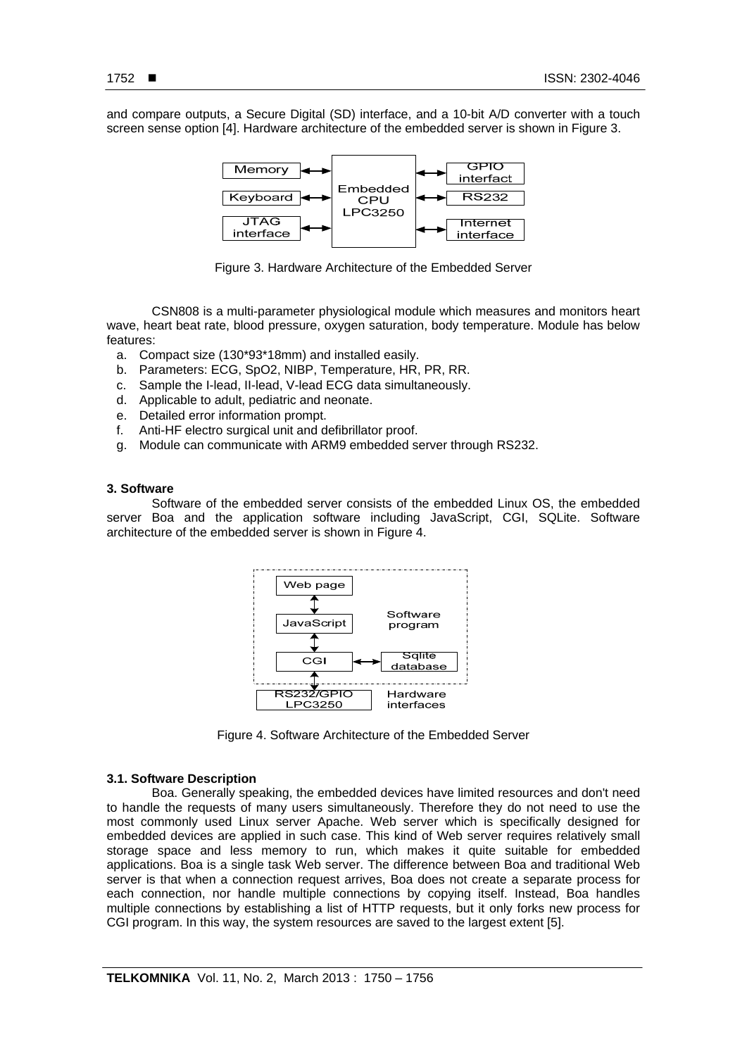and compare outputs, a Secure Digital (SD) interface, and a 10-bit A/D converter with a touch screen sense option [4]. Hardware architecture of the embedded server is shown in Figure 3.



Figure 3. Hardware Architecture of the Embedded Server

CSN808 is a multi-parameter physiological module which measures and monitors heart wave, heart beat rate, blood pressure, oxygen saturation, body temperature. Module has below features:

- a. Compact size (130\*93\*18mm) and installed easily.
- b. Parameters: ECG, SpO2, NIBP, Temperature, HR, PR, RR.
- c. Sample the I-lead, II-lead, V-lead ECG data simultaneously.
- d. Applicable to adult, pediatric and neonate.
- e. Detailed error information prompt.
- f. Anti-HF electro surgical unit and defibrillator proof.
- g. Module can communicate with ARM9 embedded server through RS232.

#### **3. Software**

Software of the embedded server consists of the embedded Linux OS, the embedded server Boa and the application software including JavaScript, CGI, SQLite. Software architecture of the embedded server is shown in Figure 4.



Figure 4. Software Architecture of the Embedded Server

## **3.1. Software Description**

Boa. Generally speaking, the embedded devices have limited resources and don't need to handle the requests of many users simultaneously. Therefore they do not need to use the most commonly used Linux server Apache. Web server which is specifically designed for embedded devices are applied in such case. This kind of Web server requires relatively small storage space and less memory to run, which makes it quite suitable for embedded applications. Boa is a single task Web server. The difference between Boa and traditional Web server is that when a connection request arrives, Boa does not create a separate process for each connection, nor handle multiple connections by copying itself. Instead, Boa handles multiple connections by establishing a list of HTTP requests, but it only forks new process for CGI program. In this way, the system resources are saved to the largest extent [5].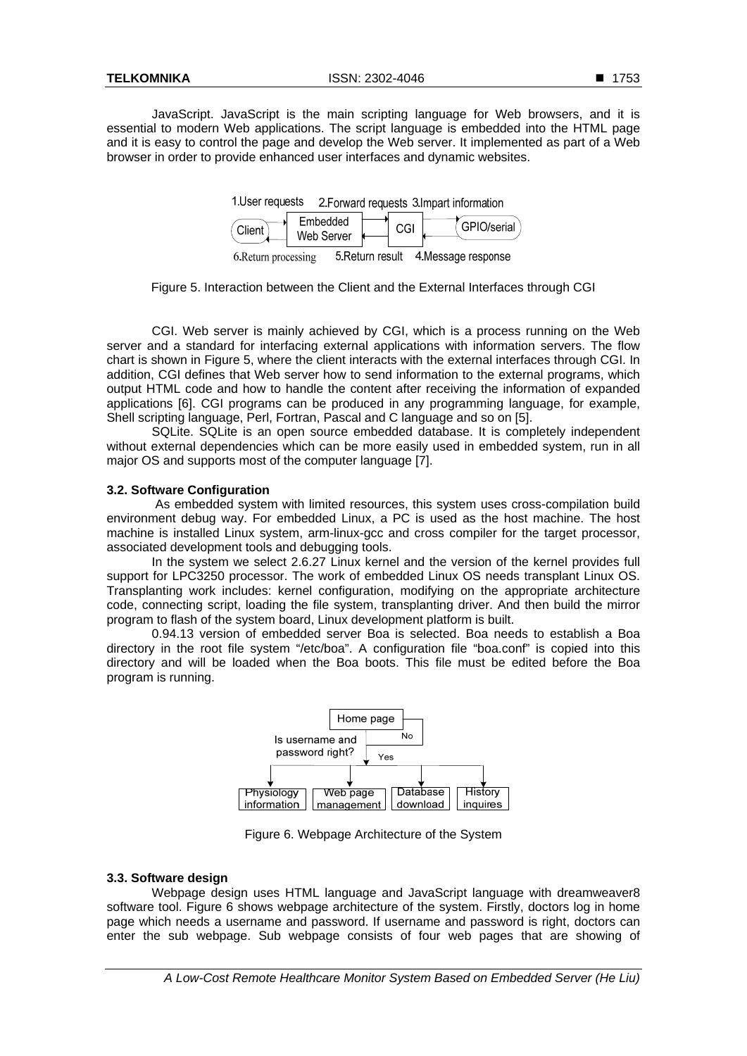JavaScript. JavaScript is the main scripting language for Web browsers, and it is essential to modern Web applications. The script language is embedded into the HTML page and it is easy to control the page and develop the Web server. It implemented as part of a Web browser in order to provide enhanced user interfaces and dynamic websites.

| 1. User requests | 2. Forward requests 3. Impart information |
|------------------|-------------------------------------------|
|                  |                                           |

| Client             | Embedded<br>Web Server |               |  | GPIO/serial        |
|--------------------|------------------------|---------------|--|--------------------|
| 4 Dotoma maggiazza |                        | 5 Dotum roout |  | 4 Meanong roopengo |

6. Return processing 5. Return result 4. Message response

Figure 5. Interaction between the Client and the External Interfaces through CGI

CGI. Web server is mainly achieved by CGI, which is a process running on the Web server and a standard for interfacing external applications with information servers. The flow chart is shown in Figure 5, where the client interacts with the external interfaces through CGI. In addition, CGI defines that Web server how to send information to the external programs, which output HTML code and how to handle the content after receiving the information of expanded applications [6]. CGI programs can be produced in any programming language, for example, Shell scripting language, Perl, Fortran, Pascal and C language and so on [5].

SQLite. SQLite is an open source embedded database. It is completely independent without external dependencies which can be more easily used in embedded system, run in all major OS and supports most of the computer language [7].

# **3.2. Software Configuration**

As embedded system with limited resources, this system uses cross-compilation build environment debug way. For embedded Linux, a PC is used as the host machine. The host machine is installed Linux system, arm-linux-gcc and cross compiler for the target processor, associated development tools and debugging tools.

In the system we select 2.6.27 Linux kernel and the version of the kernel provides full support for LPC3250 processor. The work of embedded Linux OS needs transplant Linux OS. Transplanting work includes: kernel configuration, modifying on the appropriate architecture code, connecting script, loading the file system, transplanting driver. And then build the mirror program to flash of the system board, Linux development platform is built.

0.94.13 version of embedded server Boa is selected. Boa needs to establish a Boa directory in the root file system "/etc/boa". A configuration file "boa.conf" is copied into this directory and will be loaded when the Boa boots. This file must be edited before the Boa program is running.



Figure 6. Webpage Architecture of the System

# **3.3. Software design**

Webpage design uses HTML language and JavaScript language with dreamweaver8 software tool. Figure 6 shows webpage architecture of the system. Firstly, doctors log in home page which needs a username and password. If username and password is right, doctors can enter the sub webpage. Sub webpage consists of four web pages that are showing of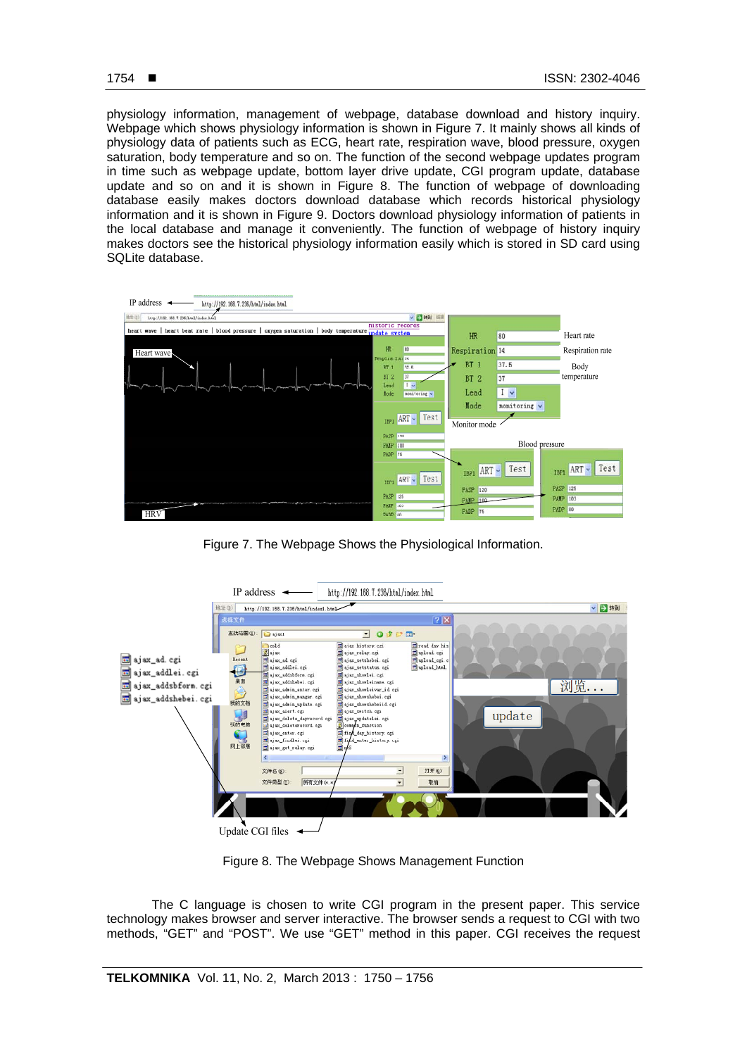physiology information, management of webpage, database download and history inquiry. Webpage which shows physiology information is shown in Figure 7. It mainly shows all kinds of physiology data of patients such as ECG, heart rate, respiration wave, blood pressure, oxygen saturation, body temperature and so on. The function of the second webpage updates program in time such as webpage update, bottom layer drive update, CGI program update, database update and so on and it is shown in Figure 8. The function of webpage of downloading database easily makes doctors download database which records historical physiology information and it is shown in Figure 9. Doctors download physiology information of patients in the local database and manage it conveniently. The function of webpage of history inquiry makes doctors see the historical physiology information easily which is stored in SD card using SQLite database.



Figure 7. The Webpage Shows the Physiological Information.



Figure 8. The Webpage Shows Management Function

The C language is chosen to write CGI program in the present paper. This service technology makes browser and server interactive. The browser sends a request to CGI with two methods, "GET" and "POST". We use "GET" method in this paper. CGI receives the request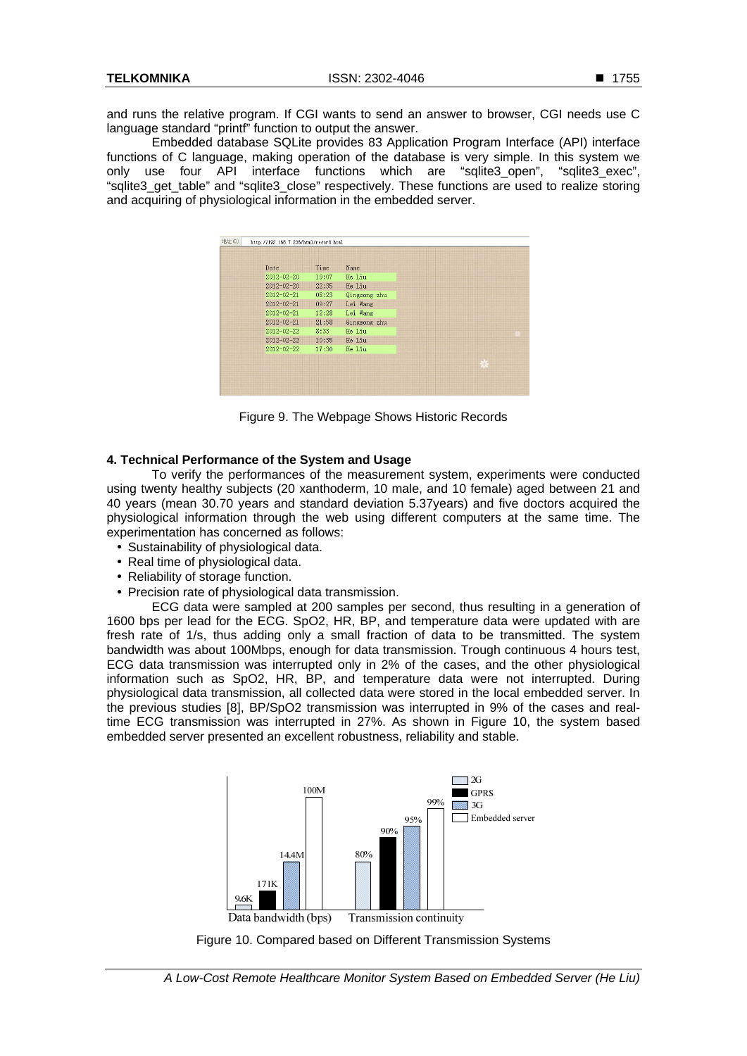and runs the relative program. If CGI wants to send an answer to browser, CGI needs use C language standard "printf" function to output the answer.

Embedded database SQLite provides 83 Application Program Interface (API) interface functions of C language, making operation of the database is very simple. In this system we only use four API interface functions which are "sqlite3\_open", "sqlite3\_exec", "sqlite3 get table" and "sqlite3 close" respectively. These functions are used to realize storing and acquiring of physiological information in the embedded server.

| Date             | Time  | Name         |
|------------------|-------|--------------|
| 2012-02-20       | 19:07 | He Liu       |
| $2012 - 02 - 20$ | 22:35 | He Liu       |
| $2012 - 02 - 21$ | 08:23 | Qingsong zhu |
| $2012 - 02 - 21$ | 09:27 | Lei Wang     |
| 2012-02-21       | 12:28 | Lei Wang     |
| $2012 - 02 - 21$ | 21:58 | Qingsong zhu |
| 2012-02-22       | 8:33  | He Liu       |
| $2012 - 02 - 22$ | 10:35 | He Liu       |
| 2012-02-22       | 17:30 | He Liu       |

Figure 9. The Webpage Shows Historic Records

## **4. Technical Performance of the System and Usage**

To verify the performances of the measurement system, experiments were conducted using twenty healthy subjects (20 xanthoderm, 10 male, and 10 female) aged between 21 and 40 years (mean 30.70 years and standard deviation 5.37years) and five doctors acquired the physiological information through the web using different computers at the same time. The experimentation has concerned as follows:

- Sustainability of physiological data.
- Real time of physiological data.
- Reliability of storage function.
- Precision rate of physiological data transmission.

ECG data were sampled at 200 samples per second, thus resulting in a generation of 1600 bps per lead for the ECG. SpO2, HR, BP, and temperature data were updated with are fresh rate of 1/s, thus adding only a small fraction of data to be transmitted. The system bandwidth was about 100Mbps, enough for data transmission. Trough continuous 4 hours test, ECG data transmission was interrupted only in 2% of the cases, and the other physiological information such as SpO2, HR, BP, and temperature data were not interrupted. During physiological data transmission, all collected data were stored in the local embedded server. In the previous studies [8], BP/SpO2 transmission was interrupted in 9% of the cases and realtime ECG transmission was interrupted in 27%. As shown in Figure 10, the system based embedded server presented an excellent robustness, reliability and stable.



Figure 10. Compared based on Different Transmission Systems